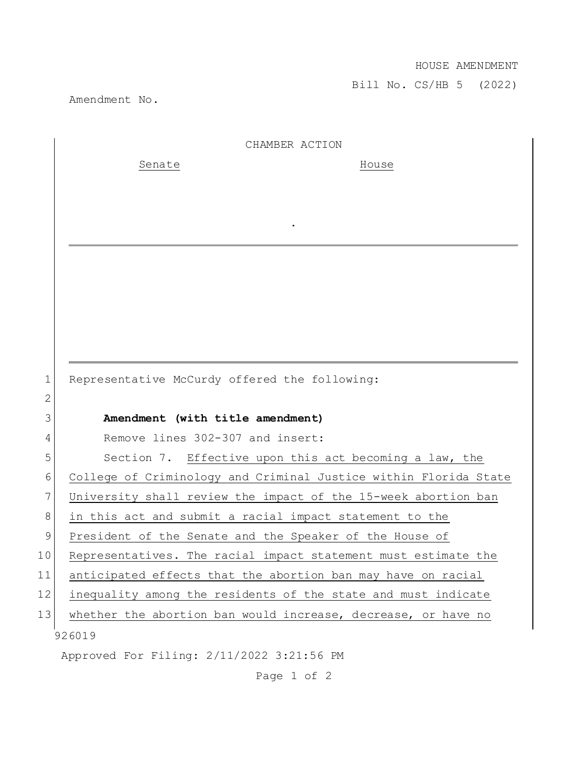## HOUSE AMENDMENT

Bill No. CS/HB 5 (2022)

Amendment No.

|    | CHAMBER ACTION                                                   |
|----|------------------------------------------------------------------|
|    | Senate<br>House                                                  |
|    |                                                                  |
|    |                                                                  |
|    |                                                                  |
|    |                                                                  |
|    |                                                                  |
|    |                                                                  |
|    |                                                                  |
|    |                                                                  |
|    |                                                                  |
| 1  |                                                                  |
| 2  | Representative McCurdy offered the following:                    |
| 3  | Amendment (with title amendment)                                 |
| 4  | Remove lines 302-307 and insert:                                 |
| 5  | Section 7. Effective upon this act becoming a law, the           |
| 6  | College of Criminology and Criminal Justice within Florida State |
| 7  | University shall review the impact of the 15-week abortion ban   |
| 8  | in this act and submit a racial impact statement to the          |
| 9  | President of the Senate and the Speaker of the House of          |
| 10 | Representatives. The racial impact statement must estimate the   |
| 11 | anticipated effects that the abortion ban may have on racial     |
| 12 | inequality among the residents of the state and must indicate    |
| 13 | whether the abortion ban would increase, decrease, or have no    |
|    | 926019                                                           |
|    | Approved For Filing: 2/11/2022 3:21:56 PM                        |

Page 1 of 2